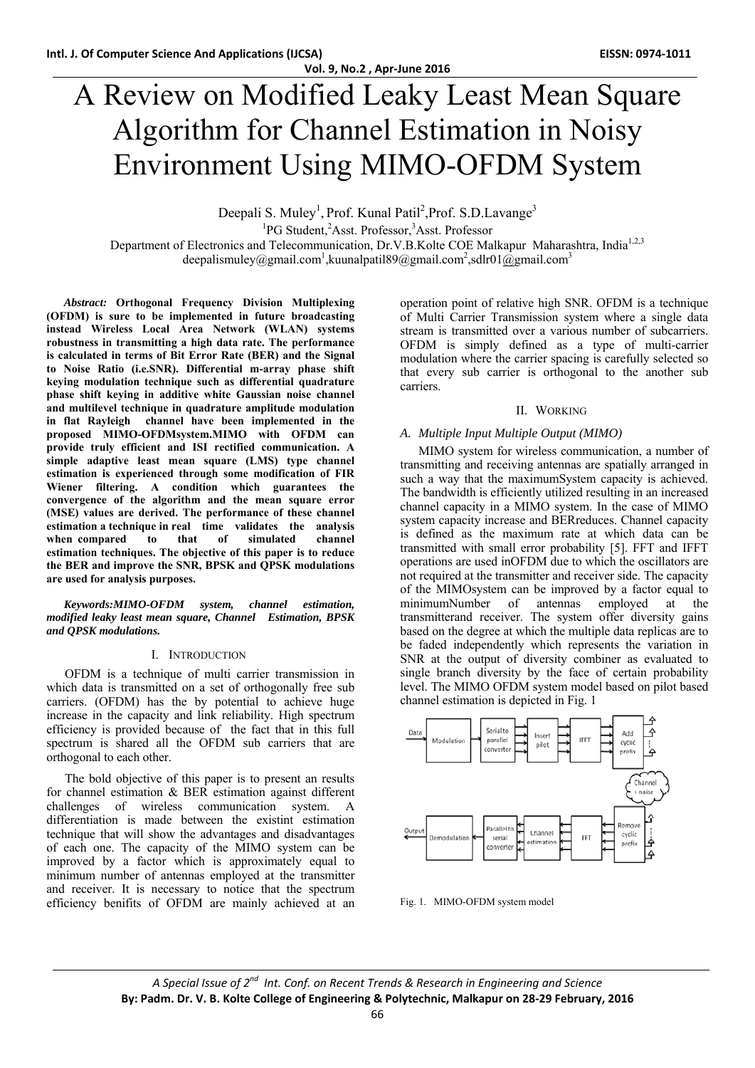**Vol. 9, No.2 , Apr‐June 2016**

# A Review on Modified Leaky Least Mean Square Algorithm for Channel Estimation in Noisy Environment Using MIMO-OFDM System

Deepali S. Muley<sup>1</sup>, Prof. Kunal Patil<sup>2</sup>, Prof. S.D. Lavange<sup>3</sup> <sup>1</sup>PG Student, <sup>2</sup>Asst. Professor, <sup>3</sup>Asst. Professor Department of Electronics and Telecommunication, Dr.V.B.Kolte COE Malkapur Maharashtra, India<sup>1,2,3</sup> deepalismuley@gmail.com<sup>1</sup>,kuunalpatil89@gmail.com<sup>2</sup>,sdlr01@gmail.com<sup>3</sup>

*Abstract:* **Orthogonal Frequency Division Multiplexing (OFDM) is sure to be implemented in future broadcasting instead Wireless Local Area Network (WLAN) systems robustness in transmitting a high data rate. The performance is calculated in terms of Bit Error Rate (BER) and the Signal to Noise Ratio (i.e.SNR). Differential m-array phase shift keying modulation technique such as differential quadrature phase shift keying in additive white Gaussian noise channel and multilevel technique in quadrature amplitude modulation in flat Rayleigh channel have been implemented in the proposed MIMO-OFDMsystem.MIMO with OFDM can provide truly efficient and ISI rectified communication. A simple adaptive least mean square (LMS) type channel estimation is experienced through some modification of FIR Wiener filtering. A condition which guarantees the convergence of the algorithm and the mean square error (MSE) values are derived. The performance of these channel estimation a technique in real time validates the analysis**  when compared to that of simulated channel **estimation techniques. The objective of this paper is to reduce the BER and improve the SNR, BPSK and QPSK modulations are used for analysis purposes.**

*Keywords:MIMO-OFDM system, channel estimation, modified leaky least mean square, Channel Estimation, BPSK and QPSK modulations.* 

## I. INTRODUCTION

OFDM is a technique of multi carrier transmission in which data is transmitted on a set of orthogonally free sub carriers. (OFDM) has the by potential to achieve huge increase in the capacity and link reliability. High spectrum efficiency is provided because of the fact that in this full spectrum is shared all the OFDM sub carriers that are orthogonal to each other.

The bold objective of this paper is to present an results for channel estimation & BER estimation against different challenges of wireless communication system. A differentiation is made between the existint estimation technique that will show the advantages and disadvantages of each one. The capacity of the MIMO system can be improved by a factor which is approximately equal to minimum number of antennas employed at the transmitter and receiver. It is necessary to notice that the spectrum efficiency benifits of OFDM are mainly achieved at an operation point of relative high SNR. OFDM is a technique of Multi Carrier Transmission system where a single data stream is transmitted over a various number of subcarriers. OFDM is simply defined as a type of multi-carrier modulation where the carrier spacing is carefully selected so that every sub carrier is orthogonal to the another sub carriers.

### II. WORKING

#### *A. Multiple Input Multiple Output (MIMO)*

MIMO system for wireless communication, a number of transmitting and receiving antennas are spatially arranged in such a way that the maximumSystem capacity is achieved. The bandwidth is efficiently utilized resulting in an increased channel capacity in a MIMO system. In the case of MIMO system capacity increase and BERreduces. Channel capacity is defined as the maximum rate at which data can be transmitted with small error probability [5]. FFT and IFFT operations are used inOFDM due to which the oscillators are not required at the transmitter and receiver side. The capacity of the MIMOsystem can be improved by a factor equal to minimumNumber of antennas employed at the transmitterand receiver. The system offer diversity gains based on the degree at which the multiple data replicas are to be faded independently which represents the variation in SNR at the output of diversity combiner as evaluated to single branch diversity by the face of certain probability level. The MIMO OFDM system model based on pilot based channel estimation is depicted in Fig. 1



Fig. 1. MIMO-OFDM system model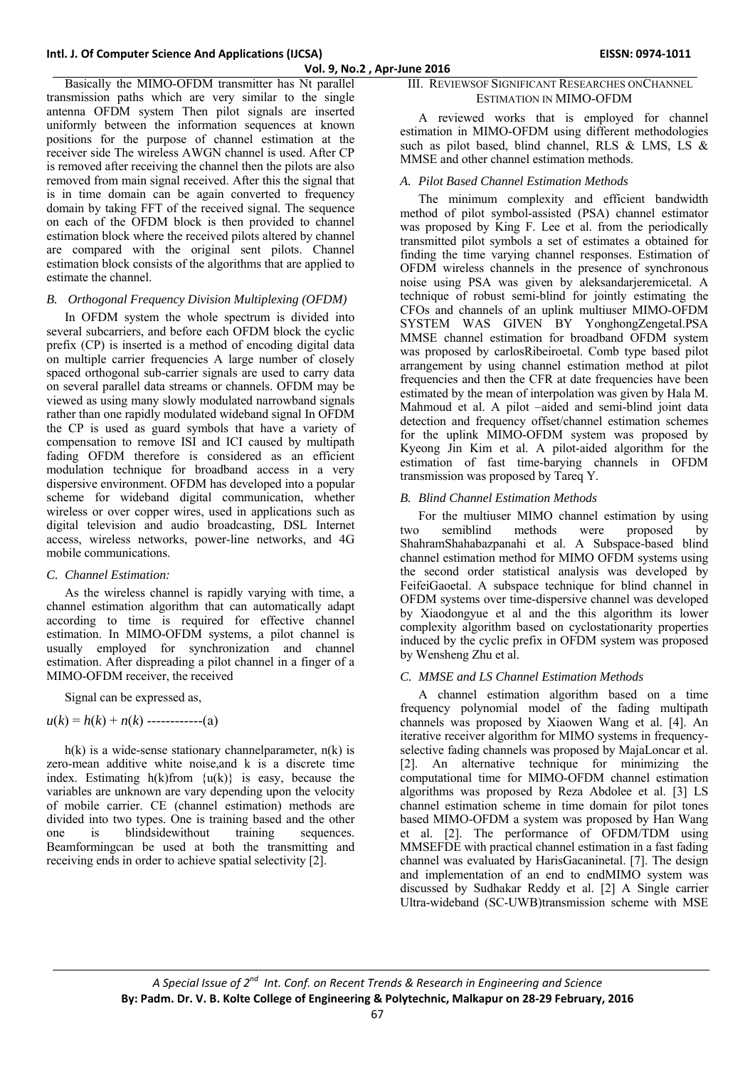Basically the MIMO-OFDM transmitter has Nt parallel transmission paths which are very similar to the single antenna OFDM system Then pilot signals are inserted uniformly between the information sequences at known positions for the purpose of channel estimation at the receiver side The wireless AWGN channel is used. After CP is removed after receiving the channel then the pilots are also removed from main signal received. After this the signal that is in time domain can be again converted to frequency domain by taking FFT of the received signal. The sequence on each of the OFDM block is then provided to channel estimation block where the received pilots altered by channel are compared with the original sent pilots. Channel estimation block consists of the algorithms that are applied to estimate the channel.

## *B. Orthogonal Frequency Division Multiplexing (OFDM)*

In OFDM system the whole spectrum is divided into several subcarriers, and before each OFDM block the cyclic prefix (CP) is inserted is a method of encoding digital data on multiple carrier frequencies A large number of closely spaced orthogonal sub-carrier signals are used to carry data on several parallel data streams or channels. OFDM may be viewed as using many slowly modulated narrowband signals rather than one rapidly modulated wideband signal In OFDM the CP is used as guard symbols that have a variety of compensation to remove ISI and ICI caused by multipath fading OFDM therefore is considered as an efficient modulation technique for broadband access in a very dispersive environment. OFDM has developed into a popular scheme for wideband digital communication, whether wireless or over copper wires, used in applications such as digital television and audio broadcasting, DSL Internet access, wireless networks, power-line networks, and 4G mobile communications.

## *C. Channel Estimation:*

As the wireless channel is rapidly varying with time, a channel estimation algorithm that can automatically adapt according to time is required for effective channel estimation. In MIMO-OFDM systems, a pilot channel is usually employed for synchronization and channel estimation. After dispreading a pilot channel in a finger of a MIMO-OFDM receiver, the received

Signal can be expressed as,

$$
u(k) = h(k) + n(k) \text{ ---} (a)
$$

 $h(k)$  is a wide-sense stationary channelparameter,  $n(k)$  is zero-mean additive white noise,and k is a discrete time index. Estimating  $h(k)$ from  $\{u(k)\}\$ is easy, because the variables are unknown are vary depending upon the velocity of mobile carrier. CE (channel estimation) methods are divided into two types. One is training based and the other one is blindsidewithout training sequences. Beamformingcan be used at both the transmitting and receiving ends in order to achieve spatial selectivity [2].

## III. REVIEWSOF SIGNIFICANT RESEARCHES ONCHANNEL ESTIMATION IN MIMO-OFDM

A reviewed works that is employed for channel estimation in MIMO-OFDM using different methodologies such as pilot based, blind channel, RLS & LMS, LS & MMSE and other channel estimation methods.

#### *A. Pilot Based Channel Estimation Methods*

The minimum complexity and efficient bandwidth method of pilot symbol-assisted (PSA) channel estimator was proposed by King F. Lee et al. from the periodically transmitted pilot symbols a set of estimates a obtained for finding the time varying channel responses. Estimation of OFDM wireless channels in the presence of synchronous noise using PSA was given by aleksandarjeremicetal. A technique of robust semi-blind for jointly estimating the CFOs and channels of an uplink multiuser MIMO-OFDM SYSTEM WAS GIVEN BY YonghongZengetal.PSA MMSE channel estimation for broadband OFDM system was proposed by carlosRibeiroetal. Comb type based pilot arrangement by using channel estimation method at pilot frequencies and then the CFR at date frequencies have been estimated by the mean of interpolation was given by Hala M. Mahmoud et al. A pilot –aided and semi-blind joint data detection and frequency offset/channel estimation schemes for the uplink MIMO-OFDM system was proposed by Kyeong Jin Kim et al. A pilot-aided algorithm for the estimation of fast time-barying channels in OFDM transmission was proposed by Tareq Y.

### *B. Blind Channel Estimation Methods*

For the multiuser MIMO channel estimation by using two semiblind methods were proposed by ShahramShahabazpanahi et al. A Subspace-based blind channel estimation method for MIMO OFDM systems using the second order statistical analysis was developed by FeifeiGaoetal. A subspace technique for blind channel in OFDM systems over time-dispersive channel was developed by Xiaodongyue et al and the this algorithm its lower complexity algorithm based on cyclostationarity properties induced by the cyclic prefix in OFDM system was proposed by Wensheng Zhu et al.

# *C. MMSE and LS Channel Estimation Methods*

A channel estimation algorithm based on a time frequency polynomial model of the fading multipath channels was proposed by Xiaowen Wang et al. [4]. An iterative receiver algorithm for MIMO systems in frequencyselective fading channels was proposed by MajaLoncar et al. [2]. An alternative technique for minimizing the computational time for MIMO-OFDM channel estimation algorithms was proposed by Reza Abdolee et al. [3] LS channel estimation scheme in time domain for pilot tones based MIMO-OFDM a system was proposed by Han Wang et al. [2]. The performance of OFDM/TDM using MMSEFDE with practical channel estimation in a fast fading channel was evaluated by HarisGacaninetal. [7]. The design and implementation of an end to endMIMO system was discussed by Sudhakar Reddy et al. [2] A Single carrier Ultra-wideband (SC-UWB)transmission scheme with MSE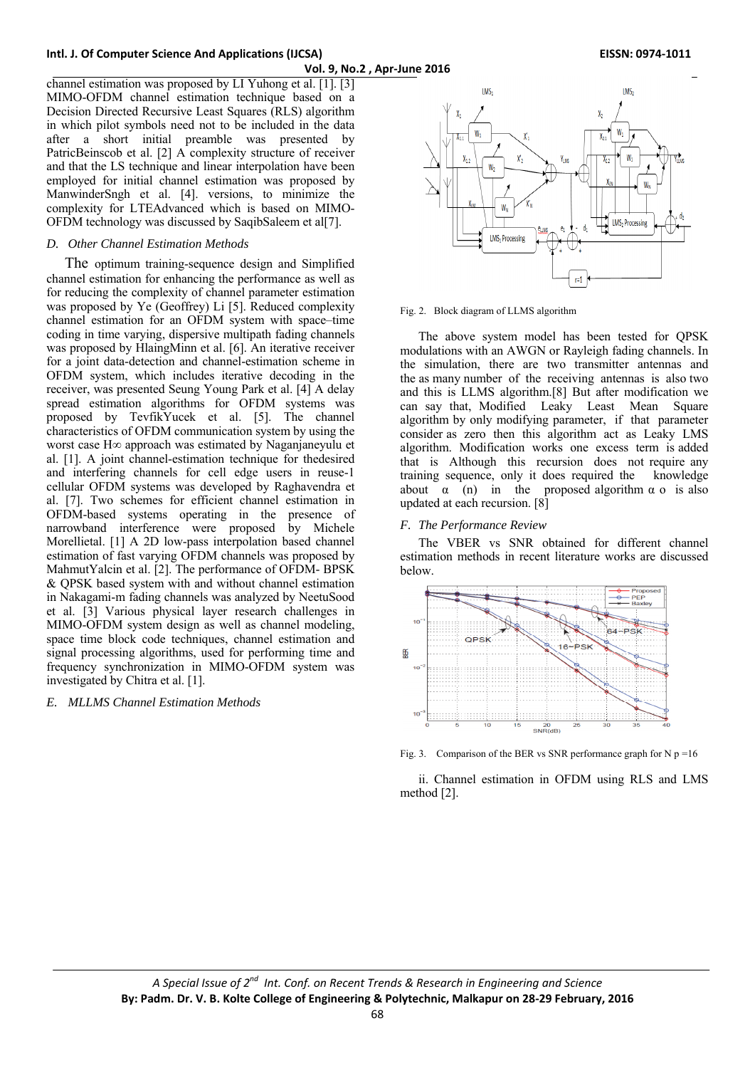channel estimation was proposed by LI Yuhong et al. [1]. [3] MIMO-OFDM channel estimation technique based on a Decision Directed Recursive Least Squares (RLS) algorithm in which pilot symbols need not to be included in the data after a short initial preamble was presented by PatricBeinscob et al. [2] A complexity structure of receiver and that the LS technique and linear interpolation have been employed for initial channel estimation was proposed by ManwinderSngh et al. [4]. versions, to minimize the complexity for LTEAdvanced which is based on MIMO-OFDM technology was discussed by SaqibSaleem et al[7].

## *D. Other Channel Estimation Methods*

The optimum training-sequence design and Simplified channel estimation for enhancing the performance as well as for reducing the complexity of channel parameter estimation was proposed by Ye (Geoffrey) Li [5]. Reduced complexity channel estimation for an OFDM system with space–time coding in time varying, dispersive multipath fading channels was proposed by HlaingMinn et al. [6]. An iterative receiver for a joint data-detection and channel-estimation scheme in OFDM system, which includes iterative decoding in the receiver, was presented Seung Young Park et al. [4] A delay spread estimation algorithms for OFDM systems was proposed by TevfikYucek et al. [5]. The channel characteristics of OFDM communication system by using the worst case H∞ approach was estimated by Naganjaneyulu et al. [1]. A joint channel-estimation technique for thedesired and interfering channels for cell edge users in reuse-1 cellular OFDM systems was developed by Raghavendra et al. [7]. Two schemes for efficient channel estimation in OFDM-based systems operating in the presence of narrowband interference were proposed by Michele Morellietal. [1] A 2D low-pass interpolation based channel estimation of fast varying OFDM channels was proposed by MahmutYalcin et al. [2]. The performance of OFDM- BPSK & QPSK based system with and without channel estimation in Nakagami-m fading channels was analyzed by NeetuSood et al. [3] Various physical layer research challenges in MIMO-OFDM system design as well as channel modeling, space time block code techniques, channel estimation and signal processing algorithms, used for performing time and frequency synchronization in MIMO-OFDM system was investigated by Chitra et al. [1].

## *E. MLLMS Channel Estimation Methods*



Fig. 2. Block diagram of LLMS algorithm

The above system model has been tested for QPSK modulations with an AWGN or Rayleigh fading channels. In the simulation, there are two transmitter antennas and the as many number of the receiving antennas is also two and this is LLMS algorithm.[8] But after modification we can say that, Modified Leaky Least Mean Square algorithm by only modifying parameter, if that parameter consider as zero then this algorithm act as Leaky LMS algorithm. Modification works one excess term is added that is Although this recursion does not require any training sequence, only it does required the knowledge about  $\alpha$  (n) in the proposed algorithm  $\alpha$  o is also updated at each recursion. [8]

## *F. The Performance Review*

The VBER vs SNR obtained for different channel estimation methods in recent literature works are discussed below.



Fig. 3. Comparison of the BER vs SNR performance graph for N  $p = 16$ 

ii. Channel estimation in OFDM using RLS and LMS method [2].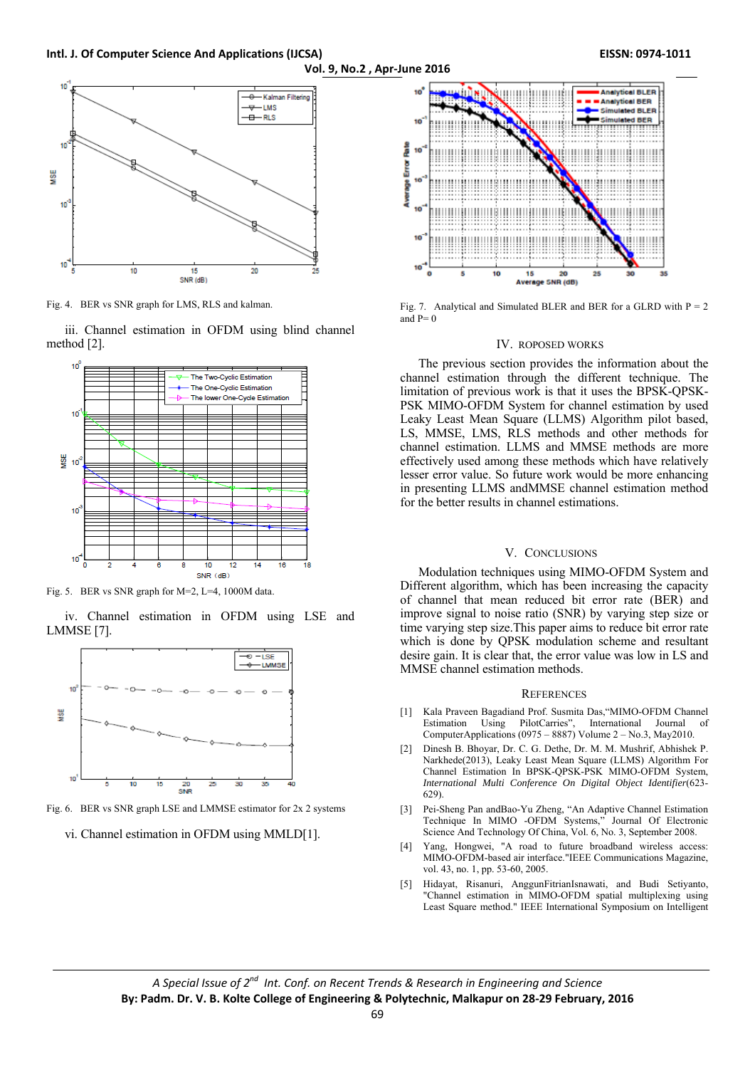**Vol. 9, No.2 , Apr‐June 2016**



Fig. 4. BER vs SNR graph for LMS, RLS and kalman.

iii. Channel estimation in OFDM using blind channel method [2].



Fig. 5. BER vs SNR graph for M=2, L=4, 1000M data.

iv. Channel estimation in OFDM using LSE and LMMSE [7].



Fig. 6. BER vs SNR graph LSE and LMMSE estimator for 2x 2 systems

vi. Channel estimation in OFDM using MMLD[1].



Fig. 7. Analytical and Simulated BLER and BER for a GLRD with  $P = 2$ and  $P= 0$ 

#### IV. ROPOSED WORKS

The previous section provides the information about the channel estimation through the different technique. The limitation of previous work is that it uses the BPSK-QPSK-PSK MIMO-OFDM System for channel estimation by used Leaky Least Mean Square (LLMS) Algorithm pilot based, LS, MMSE, LMS, RLS methods and other methods for channel estimation. LLMS and MMSE methods are more effectively used among these methods which have relatively lesser error value. So future work would be more enhancing in presenting LLMS andMMSE channel estimation method for the better results in channel estimations.

# V. CONCLUSIONS

Modulation techniques using MIMO-OFDM System and Different algorithm, which has been increasing the capacity of channel that mean reduced bit error rate (BER) and improve signal to noise ratio (SNR) by varying step size or time varying step size.This paper aims to reduce bit error rate which is done by QPSK modulation scheme and resultant desire gain. It is clear that, the error value was low in LS and MMSE channel estimation methods.

#### **REFERENCES**

- [1] Kala Praveen Bagadiand Prof. Susmita Das,"MIMO-OFDM Channel Estimation Using PilotCarries", International Journal of ComputerApplications (0975 – 8887) Volume 2 – No.3, May2010.
- [2] Dinesh B. Bhoyar, Dr. C. G. Dethe, Dr. M. M. Mushrif, Abhishek P. Narkhede(2013), Leaky Least Mean Square (LLMS) Algorithm For Channel Estimation In BPSK-QPSK-PSK MIMO-OFDM System, *International Multi Conference On Digital Object Identifier*(623- 629).
- [3] Pei-Sheng Pan andBao-Yu Zheng, "An Adaptive Channel Estimation Technique In MIMO -OFDM Systems," Journal Of Electronic Science And Technology Of China, Vol. 6, No. 3, September 2008.
- [4] Yang, Hongwei, "A road to future broadband wireless access: MIMO-OFDM-based air interface."IEEE Communications Magazine, vol. 43, no. 1, pp. 53-60, 2005.
- [5] Hidayat, Risanuri, AnggunFitrianIsnawati, and Budi Setiyanto, "Channel estimation in MIMO-OFDM spatial multiplexing using Least Square method." IEEE International Symposium on Intelligent